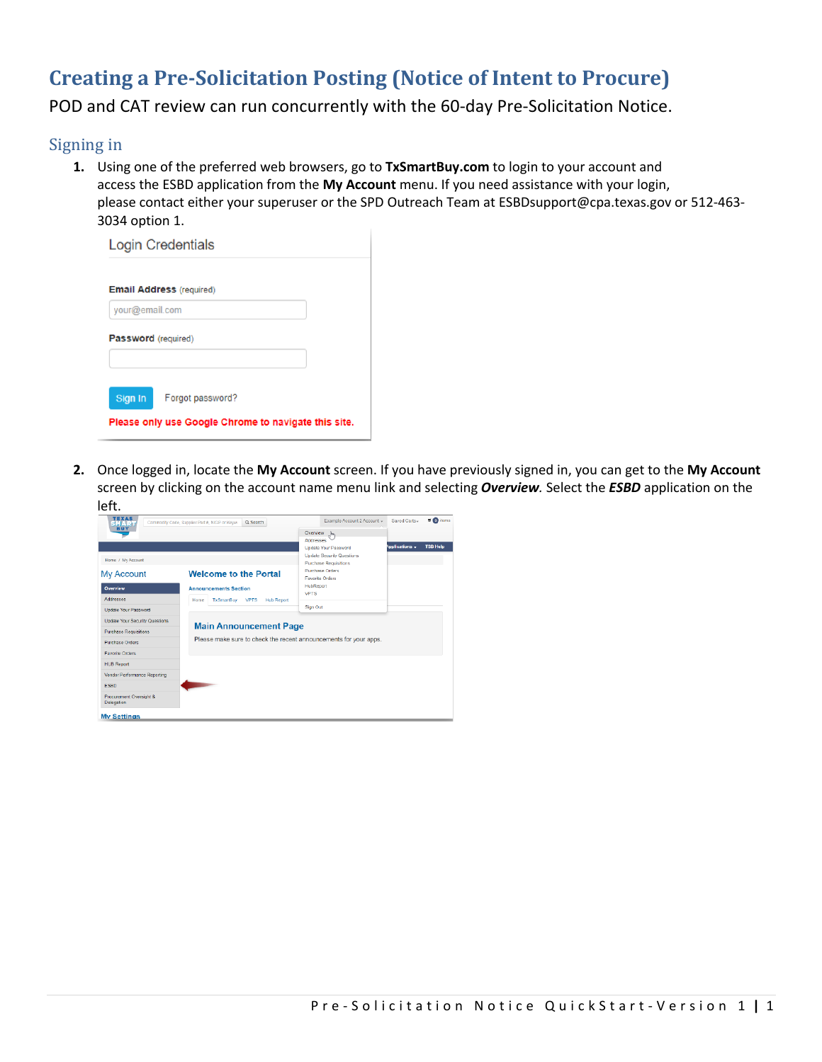# **Creating a Pre-Solicitation Posting (Notice of Intent to Procure)**

POD and CAT review can run concurrently with the 60-day Pre-Solicitation Notice.

# Signing in

 **1.** Using one of the preferred web browsers, go to **[TxSmartBuy.com](https://TxSmartBuy.com)** to login to your account and access the ESBD application from the **My Account** menu. If you need assistance with your login, please contact either your superuser or the SPD Outreach Team at [ESBDsupport@cpa.texas.gov](mailto:ESBDsupport@cpa.texas.gov) or 512-463- 3034 option 1.

|                     | <b>Login Credentials</b>                                                 |
|---------------------|--------------------------------------------------------------------------|
|                     | <b>Email Address (required)</b>                                          |
| your@email.com      |                                                                          |
| Password (required) |                                                                          |
| Sign In             | Forgot password?<br>Please only use Google Chrome to navigate this site. |

 **2.** Once logged in, locate the **My Account** screen. If you have previously signed in, you can get to the **My Account**  screen by clicking on the account name menu link and selecting *Overview.* Select the *ESBD* application on the left.

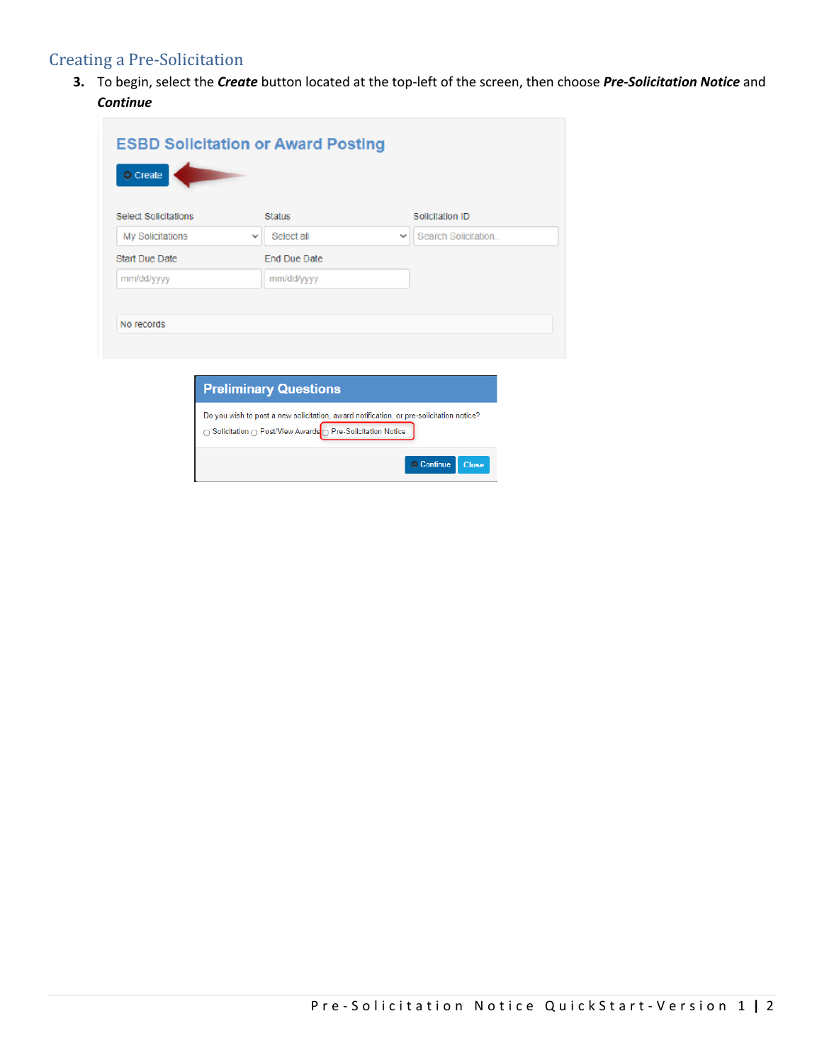# Creating a Pre-Solicitation

 **3.** To begin, select the *Create* button located at the top-left of the screen, then choose *Pre-Solicitation Notice* and *Continue* 

Continue Close

| <b>Select Solicitations</b> | <b>Status</b>              | Solicitation ID                     |
|-----------------------------|----------------------------|-------------------------------------|
| My Solicitations            | Select all<br>$\checkmark$ | Search Solicitation<br>$\checkmark$ |
| Start Due Date              | End Due Date               |                                     |
| mm/dd/yyyy                  | mm/dd/yyyy                 |                                     |
|                             |                            |                                     |
| No records                  |                            |                                     |

○ Solicitation ○ Post/View Awards O Pre-Solicitation Notice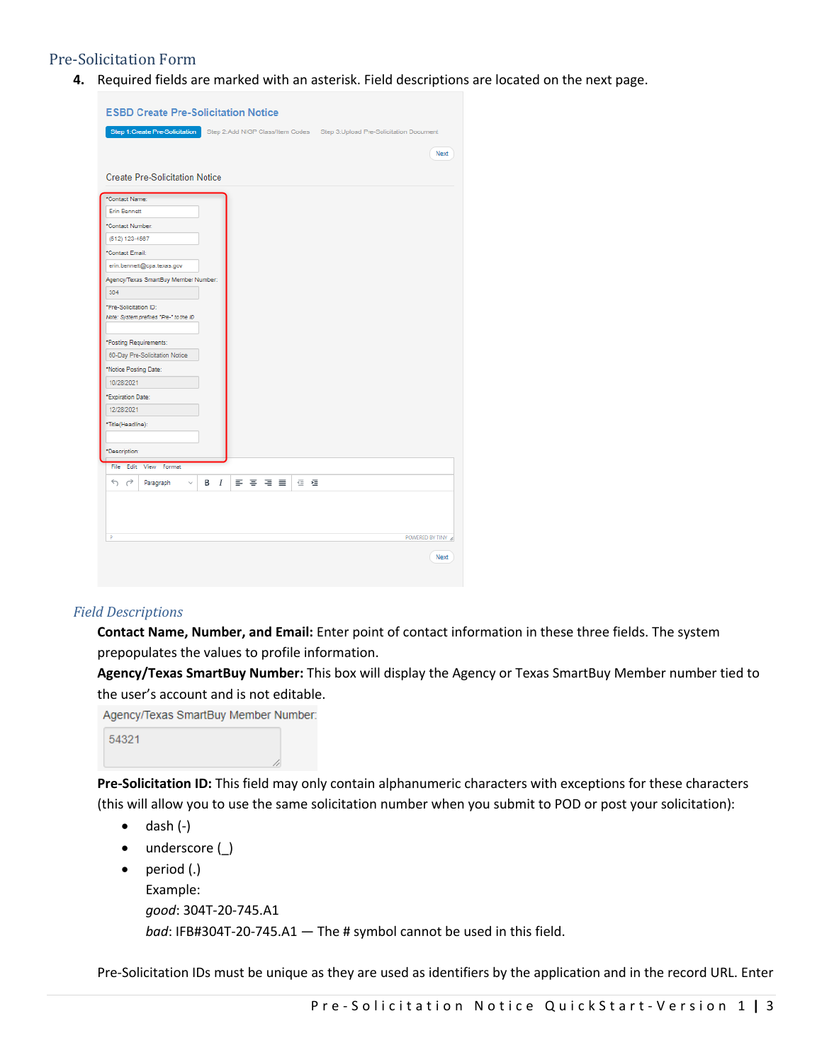## Pre-Solicitation Form

**4.** Required fields are marked with an asterisk. Field descriptions are located on the next page.

| <b>ESBD Create Pre-Solicitation Notice</b>                      |                                                                          |
|-----------------------------------------------------------------|--------------------------------------------------------------------------|
| Step 1: Create Pre-Solicitation                                 | Step 2:Add NIGP Class/Item Codes Step 3:Upload Pre-Solicitation Document |
|                                                                 | Next                                                                     |
|                                                                 |                                                                          |
| <b>Create Pre-Solicitation Notice</b>                           |                                                                          |
| *Contact Name:                                                  |                                                                          |
| <b>Erin Bennett</b>                                             |                                                                          |
| *Contact Number:                                                |                                                                          |
| (512) 123-4567                                                  |                                                                          |
| *Contact Email:                                                 |                                                                          |
| erin.bennett@cpa.texas.gov                                      |                                                                          |
| Agency/Texas SmartBuy Member Number:                            |                                                                          |
| 304                                                             |                                                                          |
| *Pre-Solicitation ID:<br>Note: System prefixes "Pre-" to the ID |                                                                          |
| *Posting Requirements:                                          |                                                                          |
| 60-Day Pre-Solicitation Notice                                  |                                                                          |
| *Notice Posting Date:                                           |                                                                          |
| 10/28/2021                                                      |                                                                          |
| *Expiration Date:                                               |                                                                          |
| 12/28/2021                                                      |                                                                          |
| *Title(Headline):                                               |                                                                          |
|                                                                 |                                                                          |
| *Description:                                                   |                                                                          |
| File Edit View Format                                           |                                                                          |
| ちっ<br>■ ■ ■ ■<br>в<br>Ι<br>Paragraph                            | こ 垣                                                                      |
|                                                                 |                                                                          |
|                                                                 |                                                                          |
|                                                                 |                                                                          |
| p                                                               | POWERED BY TINY                                                          |
|                                                                 | Next                                                                     |
|                                                                 |                                                                          |

#### *Field Descriptions*

 **Contact Name, Number, and Email:** Enter point of contact information in these three fields. The system prepopulates the values to profile information.

 **Agency/Texas SmartBuy Number:** This box will display the Agency or Texas SmartBuy Member number tied to the user's account and is not editable.

Agency/Texas SmartBuy Member Number:

```
54321
```
 **Pre-Solicitation ID:** This field may only contain alphanumeric characters with exceptions for these characters (this will allow you to use the same solicitation number when you submit to POD or post your solicitation):

- $\bullet$  dash  $(-)$
- underscore (\_)
- *bad*: [IFB#304T-20-745.A1](https://IFB#304T-20-745.A1)  The # symbol cannot be used in this field. • period (.) Example: *good*: [304T-20-745.A1](https://304T-20-745.A1)

Pre-Solicitation IDs must be unique as they are used as identifiers by the application and in the record URL. Enter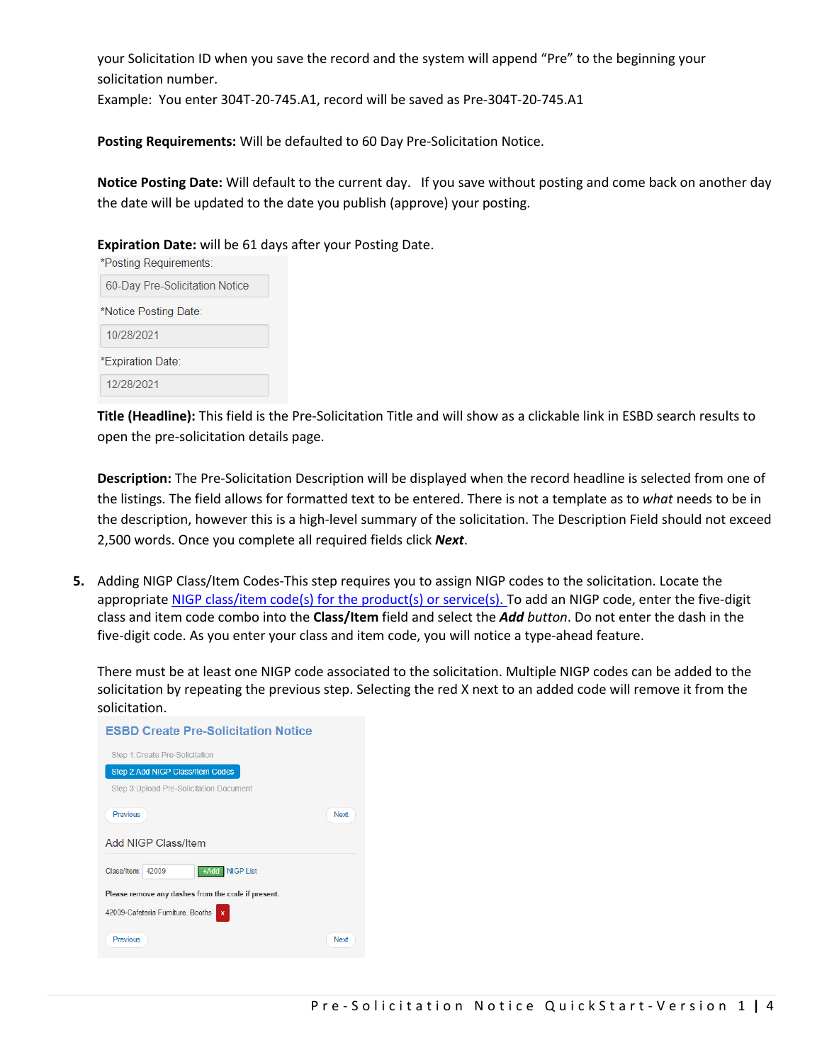your Solicitation ID when you save the record and the system will append "Pre" to the beginning your solicitation number.

Example: You enter [304T-20-745.A1,](https://304T-20-745.A1) record will be saved as [Pre-304T-20-745.A1](https://Pre-304T-20-745.A1) 

**Posting Requirements:** Will be defaulted to 60 Day Pre-Solicitation Notice.

 **Notice Posting Date:** Will default to the current day. If you save without posting and come back on another day the date will be updated to the date you publish (approve) your posting.

**Expiration Date:** will be 61 days after your Posting Date.

| *Posting Requirements:         |
|--------------------------------|
| 60-Day Pre-Solicitation Notice |
| *Notice Posting Date:          |
| 10/28/2021                     |
| *Expiration Date:              |
| 12/28/2021                     |

 **Title (Headline):** This field is the Pre-Solicitation Title and will show as a clickable link in ESBD search results to open the pre-solicitation details page.

 **Description:** The Pre-Solicitation Description will be displayed when the record headline is selected from one of the listings. The field allows for formatted text to be entered. There is not a template as to *what* needs to be in 2,500 words. Once you complete all required fields click *Next*. the description, however this is a high-level summary of the solicitation. The Description Field should not exceed

 **5.** Adding NIGP Class/Item Codes-This step requires you to assign NIGP codes to the solicitation. Locate the appropriate NIGP class/item code(s) for the product(s) or service(s). To add an NIGP code, enter the five-digit class and item code combo into the **Class/Item** field and select the *Add button*. Do not enter the dash in the five-digit code. As you enter your class and item code, you will notice a type-ahead feature.

 There must be at least one NIGP code associated to the solicitation. Multiple NIGP codes can be added to the solicitation by repeating the previous step. Selecting the red X next to an added code will remove it from the solicitation.

| <b>ESBD Create Pre-Solicitation Notice</b>         |      |
|----------------------------------------------------|------|
| Step 1: Create Pre-Solicitation                    |      |
| Step 2:Add NIGP Class/Item Codes                   |      |
| Step 3: Upload Pre-Solicitation Document           |      |
| Previous                                           | Next |
| Add NIGP Class/Item                                |      |
| Class/Item:<br><b>NIGP List</b><br>42009<br>+Add   |      |
| Please remove any dashes from the code if present. |      |
| 42009-Cafeteria Furniture, Booths<br>$\mathbf x$   |      |
| Previous                                           | Next |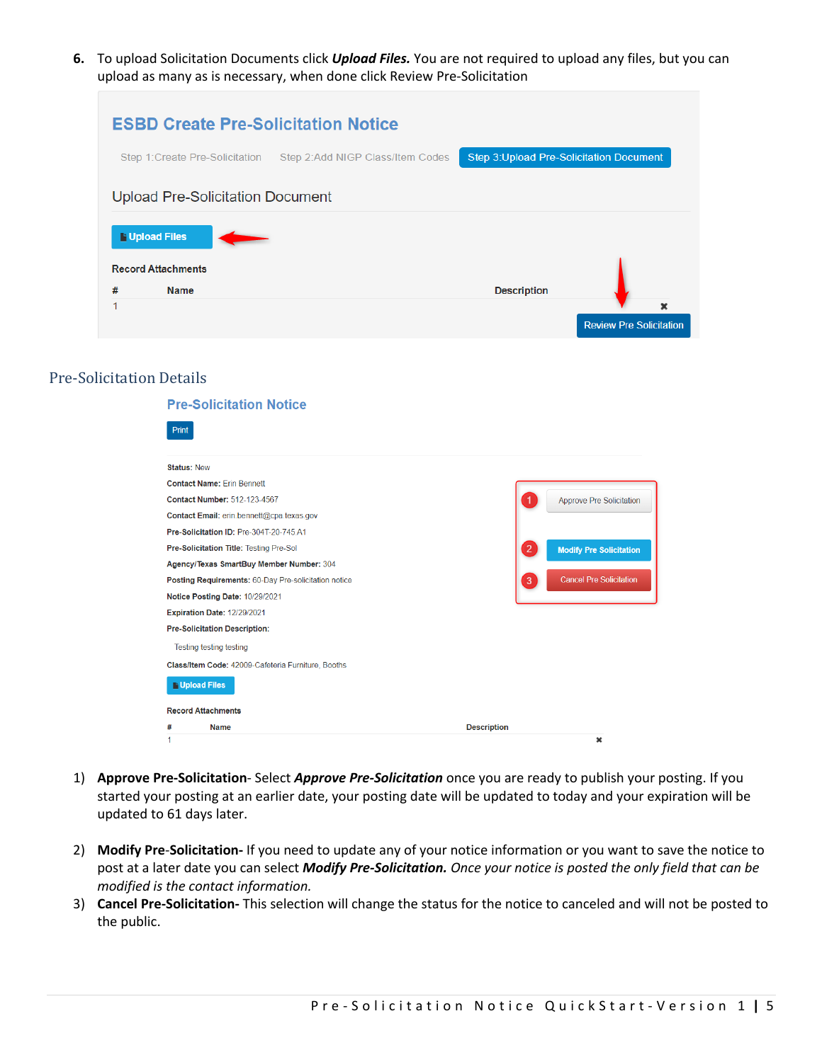upload as many as is necessary, when done click Review Pre-Solicitation **6.** To upload Solicitation Documents click *Upload Files.* You are not required to upload any files, but you can

|   |                                          | <b>ESBD Create Pre-Solicitation Notice</b> |                                                 |                                |
|---|------------------------------------------|--------------------------------------------|-------------------------------------------------|--------------------------------|
|   | Step 1: Create Pre-Solicitation          | Step 2:Add NIGP Class/Item Codes           | <b>Step 3: Upload Pre-Solicitation Document</b> |                                |
|   | <b>Upload Pre-Solicitation Document</b>  |                                            |                                                 |                                |
|   | <b>Upload Files</b>                      |                                            |                                                 |                                |
| # | <b>Record Attachments</b><br><b>Name</b> |                                            | <b>Description</b>                              |                                |
|   |                                          |                                            |                                                 | $\mathbf x$                    |
|   |                                          |                                            |                                                 | <b>Review Pre Solicitation</b> |

## Pre-Solicitation Details

|                    | <b>Pre-Solicitation Notice</b>                       |                    |                                 |
|--------------------|------------------------------------------------------|--------------------|---------------------------------|
| <b>Print</b>       |                                                      |                    |                                 |
| <b>Status: New</b> |                                                      |                    |                                 |
|                    | <b>Contact Name: Frin Bennett</b>                    |                    |                                 |
|                    | Contact Number: 512-123-4567                         |                    | <b>Approve Pre Solicitation</b> |
|                    | Contact Email: erin.bennett@cpa.texas.gov            |                    |                                 |
|                    | Pre-Solicitation ID: Pre-304T-20-745.A1              |                    |                                 |
|                    | Pre-Solicitation Title: Testing Pre-Sol              | $\overline{2}$     | <b>Modify Pre Solicitation</b>  |
|                    | Agency/Texas SmartBuy Member Number: 304             |                    |                                 |
|                    | Posting Requirements: 60-Day Pre-solicitation notice | 3                  | <b>Cancel Pre Solicitation</b>  |
|                    | Notice Posting Date: 10/29/2021                      |                    |                                 |
|                    | Expiration Date: 12/29/2021                          |                    |                                 |
|                    | <b>Pre-Solicitation Description:</b>                 |                    |                                 |
|                    | <b>Testing testing testing</b>                       |                    |                                 |
|                    | Class/Item Code: 42009-Cafeteria Furniture, Booths   |                    |                                 |
|                    | <b>Nupload Files</b>                                 |                    |                                 |
|                    | <b>Record Attachments</b>                            |                    |                                 |
| #                  | <b>Name</b>                                          | <b>Description</b> |                                 |
| 1                  |                                                      |                    | ×                               |

- 1) **Approve Pre-Solicitation** Select *Approve Pre-Solicitation* once you are ready to publish your posting. If you started your posting at an earlier date, your posting date will be updated to today and your expiration will be updated to 61 days later.
- 2) **Modify Pre**-**Solicitation-** If you need to update any of your notice information or you want to save the notice to post at a later date you can select *Modify Pre-Solicitation. Once your notice is posted the only field that can be modified is the contact information.*
- 3) **Cancel Pre-Solicitation-** This selection will change the status for the notice to canceled and will not be posted to the public.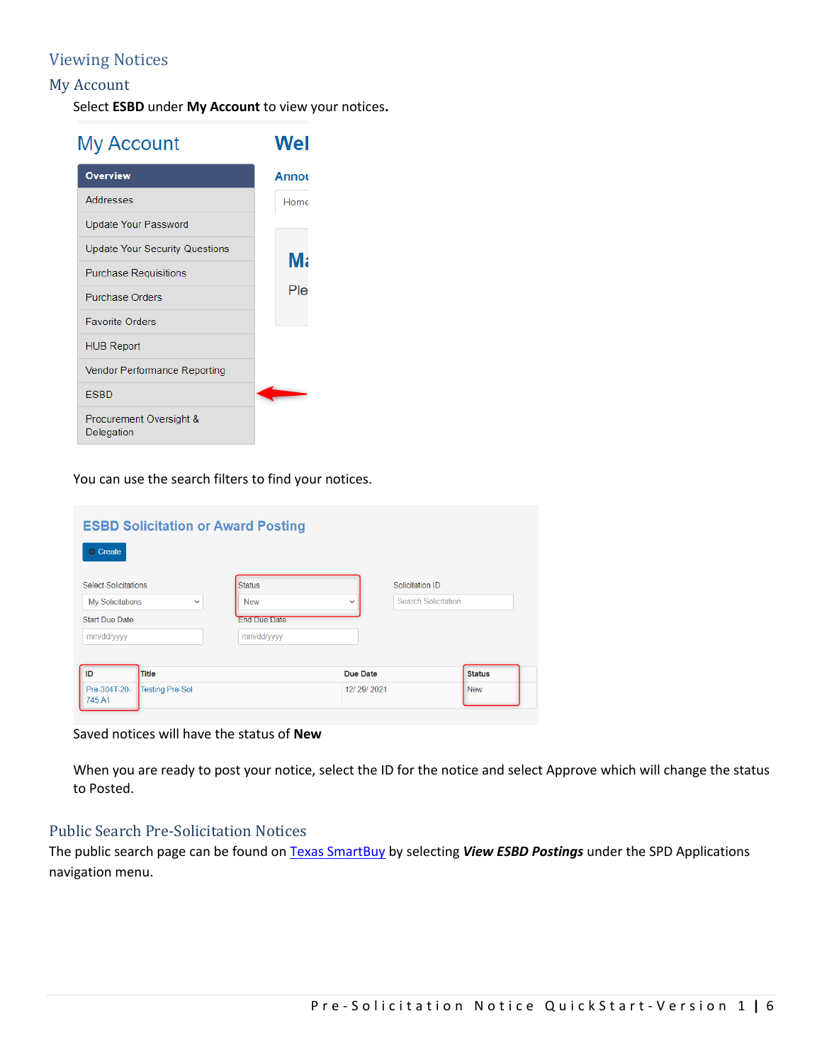# **Viewing Notices**

### My Account

 Select **ESBD** under **My Account** to view your notices**.** 

| My Account                            | Wel   |
|---------------------------------------|-------|
| <b>Overview</b>                       | Annou |
| Addresses                             | Home  |
| Update Your Password                  |       |
| <b>Update Your Security Questions</b> | Mε    |
| <b>Purchase Requisitions</b>          |       |
| <b>Purchase Orders</b>                | Plei  |
| <b>Favorite Orders</b>                |       |
| <b>HUB Report</b>                     |       |
| <b>Vendor Performance Reporting</b>   |       |
| <b>ESBD</b>                           |       |
| Procurement Oversight &<br>Delegation |       |

You can use the search filters to find your notices.

| <b>ESBD Solicitation or Award Posting</b><br><b>C</b> Create |                     |                 |                     |               |
|--------------------------------------------------------------|---------------------|-----------------|---------------------|---------------|
| <b>Select Solicitations</b>                                  | <b>Status</b>       |                 | Solicitation ID     |               |
| <b>My Solicitations</b><br>$\check{~}$                       | <b>New</b>          | $\checkmark$    | Search Solicitation |               |
| <b>Start Due Date</b>                                        | <b>End Due Date</b> |                 |                     |               |
| mm/dd/yyyy                                                   | mm/dd/yyyy          |                 |                     |               |
|                                                              |                     |                 |                     |               |
| ID<br><b>Title</b>                                           |                     | <b>Due Date</b> |                     | <b>Status</b> |
| Pre-304T-20-<br>Testing Pre-Sol<br>745.A1                    |                     | 12/29/2021      |                     | <b>New</b>    |

Saved notices will have the status of **New** 

 When you are ready to post your notice, select the ID for the notice and select Approve which will change the status to Posted.

#### Public Search Pre-Solicitation Notices

 The public search page can be found on Texas SmartBuy by selecting *View ESBD Postings* under the SPD Applications navigation menu.